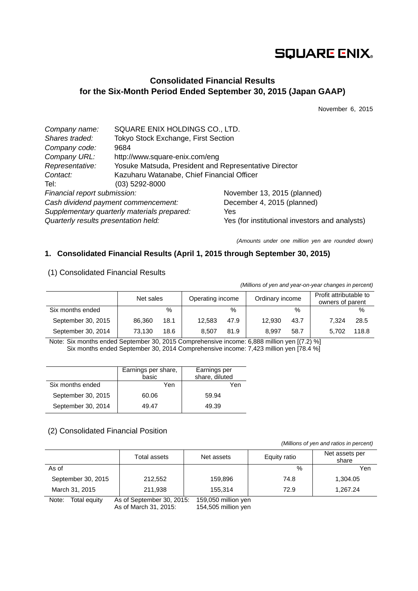# **SQUARE ENIX.**

## **Consolidated Financial Results for the Six-Month Period Ended September 30, 2015 (Japan GAAP)**

November 6, 2015

| Company name:                        | SQUARE ENIX HOLDINGS CO., LTD.                        |                                                |
|--------------------------------------|-------------------------------------------------------|------------------------------------------------|
| Shares traded:                       | Tokyo Stock Exchange, First Section                   |                                                |
| Company code:                        | 9684                                                  |                                                |
| Company URL:                         | http://www.square-enix.com/eng                        |                                                |
| Representative:                      | Yosuke Matsuda, President and Representative Director |                                                |
| Contact:                             | Kazuharu Watanabe, Chief Financial Officer            |                                                |
| Tel:                                 | (03) 5292-8000                                        |                                                |
| Financial report submission:         |                                                       | November 13, 2015 (planned)                    |
| Cash dividend payment commencement:  |                                                       | December 4, 2015 (planned)                     |
|                                      | Supplementary quarterly materials prepared:           | Yes                                            |
| Quarterly results presentation held: |                                                       | Yes (for institutional investors and analysts) |

*(Amounts under one million yen are rounded down)* 

## **1. Consolidated Financial Results (April 1, 2015 through September 30, 2015)**

| <i>(willions or you and your orr your changes in porcont)</i> |                                                  |      |        |               |        |                                            |       |       |
|---------------------------------------------------------------|--------------------------------------------------|------|--------|---------------|--------|--------------------------------------------|-------|-------|
|                                                               | Operating income<br>Ordinary income<br>Net sales |      |        |               |        | Profit attributable to<br>owners of parent |       |       |
| Six months ended                                              |                                                  | $\%$ |        | $\frac{0}{0}$ |        | $\%$                                       |       | %     |
| September 30, 2015                                            | 86.360                                           | 18.1 | 12.583 | 47.9          | 12.930 | 43.7                                       | 7.324 | 28.5  |
| September 30, 2014                                            | 73.130                                           | 18.6 | 8.507  | 81.9          | 8.997  | 58.7                                       | 5.702 | 118.8 |

### (1) Consolidated Financial Results

*(Millions of yen and year-on-year changes in percent)*

Note: Six months ended September 30, 2015 Comprehensive income: 6,888 million yen [(7.2) %] Six months ended September 30, 2014 Comprehensive income: 7,423 million yen [78.4 %]

|                    | Earnings per share,<br>basic | Earnings per<br>share, diluted |
|--------------------|------------------------------|--------------------------------|
| Six months ended   | Yen                          | Yen                            |
| September 30, 2015 | 60.06                        | 59.94                          |
| September 30, 2014 | 49.47                        | 49.39                          |

### (2) Consolidated Financial Position

 *(Millions of yen and ratios in percent)*

|                       | Total assets              | Net assets          | Equity ratio | Net assets per<br>share |
|-----------------------|---------------------------|---------------------|--------------|-------------------------|
| As of                 |                           |                     | $\%$         | Yen                     |
| September 30, 2015    | 212,552                   | 159,896             | 74.8         | 1,304.05                |
| March 31, 2015        | 211,938                   | 155.314             | 72.9         | 1,267.24                |
| Note:<br>Total equity | As of September 30, 2015: | 159,050 million yen |              |                         |

As of March 31, 2015: 154,505 million yen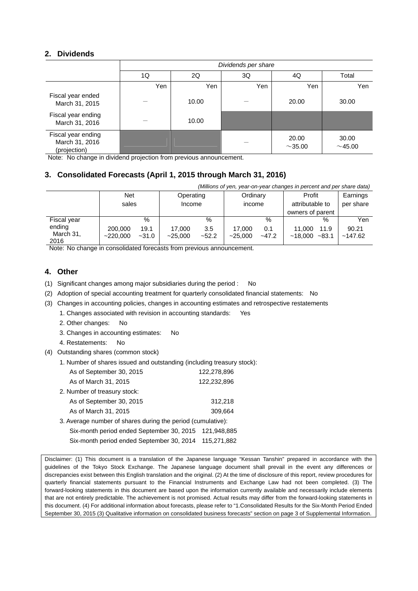## **2. Dividends**

|                                                      | Dividends per share |                         |     |                       |                |  |  |  |
|------------------------------------------------------|---------------------|-------------------------|-----|-----------------------|----------------|--|--|--|
|                                                      | 1Q                  | 2Q<br>3Q<br>Total<br>4Q |     |                       |                |  |  |  |
|                                                      | Yen                 | Yen                     | Yen | Yen                   | Yen            |  |  |  |
| Fiscal year ended<br>March 31, 2015                  |                     | 10.00                   |     | 20.00                 | 30.00          |  |  |  |
| Fiscal year ending<br>March 31, 2016                 |                     | 10.00                   |     |                       |                |  |  |  |
| Fiscal year ending<br>March 31, 2016<br>(projection) |                     |                         |     | 20.00<br>$\sim$ 35.00 | 30.00<br>~1.00 |  |  |  |

Note: No change in dividend projection from previous announcement.

## **3. Consolidated Forecasts (April 1, 2015 through March 31, 2016)**

| (Millions of yen, year-on-year changes in percent and per share data) |                     |                 |                     |                |                    |                |                                               |                 |                       |
|-----------------------------------------------------------------------|---------------------|-----------------|---------------------|----------------|--------------------|----------------|-----------------------------------------------|-----------------|-----------------------|
|                                                                       | <b>Net</b><br>sales |                 | Operating<br>Income |                | Ordinary<br>income |                | Profit<br>attributable to<br>owners of parent |                 | Earnings<br>per share |
| Fiscal year                                                           |                     | %               |                     | %              |                    | $\%$           |                                               | $\%$            | Yen                   |
| ending<br>March 31,<br>2016                                           | 200,000<br>~220.000 | 19.1<br>$-31.0$ | 17,000<br>$-25.000$ | 3.5<br>$-52.2$ | 17.000<br>~25.000  | 0.1<br>$-47.2$ | 11.000<br>~18.000                             | 11.9<br>$-83.1$ | 90.21<br>~147.62      |

Note: No change in consolidated forecasts from previous announcement.

#### **4. Other**

(1) Significant changes among major subsidiaries during the period : No

- (2) Adoption of special accounting treatment for quarterly consolidated financial statements: No
- (3) Changes in accounting policies, changes in accounting estimates and retrospective restatements

1. Changes associated with revision in accounting standards: Yes

- 2. Other changes: No
- 3. Changes in accounting estimates: No
- 4. Restatements: No
- (4) Outstanding shares (common stock)
	- 1. Number of shares issued and outstanding (including treasury stock):

| As of September 30, 2015                                    | 122,278,896 |
|-------------------------------------------------------------|-------------|
| As of March 31, 2015                                        | 122,232,896 |
| 2. Number of treasury stock:                                |             |
| As of September 30, 2015                                    | 312,218     |
| As of March 31, 2015                                        | 309,664     |
| 3. Average number of shares during the period (cumulative): |             |
| Six-month period ended September 30, 2015 121,948,885       |             |
|                                                             |             |

Six-month period ended September 30, 2014 115,271,882

Disclaimer: (1) This document is a translation of the Japanese language "Kessan Tanshin" prepared in accordance with the guidelines of the Tokyo Stock Exchange. The Japanese language document shall prevail in the event any differences or discrepancies exist between this English translation and the original. (2) At the time of disclosure of this report, review procedures for quarterly financial statements pursuant to the Financial Instruments and Exchange Law had not been completed. (3) The forward-looking statements in this document are based upon the information currently available and necessarily include elements that are not entirely predictable. The achievement is not promised. Actual results may differ from the forward-looking statements in this document. (4) For additional information about forecasts, please refer to "1.Consolidated Results for the Six-Month Period Ended September 30, 2015 (3) Qualitative information on consolidated business forecasts" section on page 3 of Supplemental Information.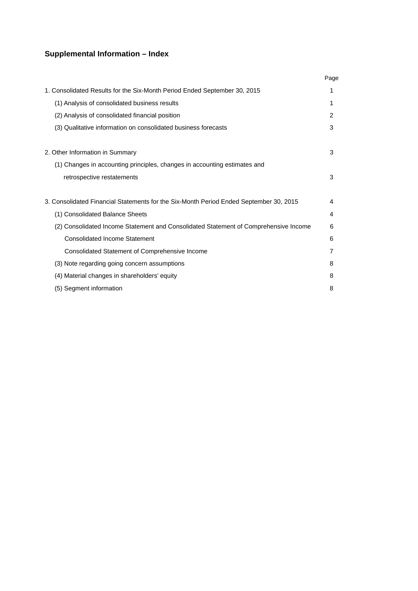## **Supplemental Information – Index**

|                                                                                        | Page |
|----------------------------------------------------------------------------------------|------|
| 1. Consolidated Results for the Six-Month Period Ended September 30, 2015              | 1    |
| (1) Analysis of consolidated business results                                          | 1    |
| (2) Analysis of consolidated financial position                                        | 2    |
| (3) Qualitative information on consolidated business forecasts                         | 3    |
| 2. Other Information in Summary                                                        | 3    |
| (1) Changes in accounting principles, changes in accounting estimates and              |      |
| retrospective restatements                                                             | 3    |
| 3. Consolidated Financial Statements for the Six-Month Period Ended September 30, 2015 | 4    |
| (1) Consolidated Balance Sheets                                                        | 4    |
| (2) Consolidated Income Statement and Consolidated Statement of Comprehensive Income   | 6    |
| <b>Consolidated Income Statement</b>                                                   | 6    |
| Consolidated Statement of Comprehensive Income                                         | 7    |
| (3) Note regarding going concern assumptions                                           | 8    |
| (4) Material changes in shareholders' equity                                           | 8    |
| (5) Segment information                                                                | 8    |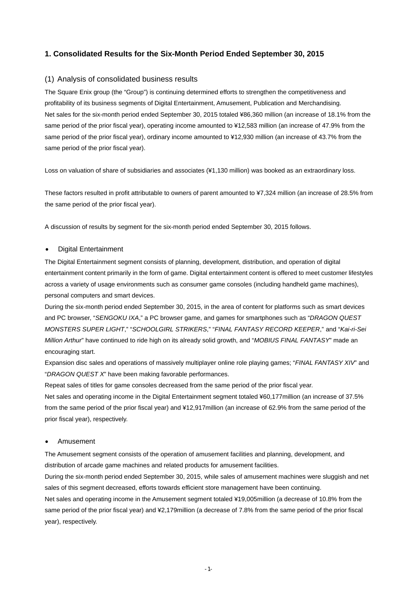## **1. Consolidated Results for the Six-Month Period Ended September 30, 2015**

#### (1) Analysis of consolidated business results

The Square Enix group (the "Group") is continuing determined efforts to strengthen the competitiveness and profitability of its business segments of Digital Entertainment, Amusement, Publication and Merchandising. Net sales for the six-month period ended September 30, 2015 totaled ¥86,360 million (an increase of 18.1% from the same period of the prior fiscal year), operating income amounted to ¥12,583 million (an increase of 47.9% from the same period of the prior fiscal year), ordinary income amounted to ¥12,930 million (an increase of 43.7% from the same period of the prior fiscal year).

Loss on valuation of share of subsidiaries and associates (¥1,130 million) was booked as an extraordinary loss.

These factors resulted in profit attributable to owners of parent amounted to ¥7,324 million (an increase of 28.5% from the same period of the prior fiscal year).

A discussion of results by segment for the six-month period ended September 30, 2015 follows.

#### Digital Entertainment

The Digital Entertainment segment consists of planning, development, distribution, and operation of digital entertainment content primarily in the form of game. Digital entertainment content is offered to meet customer lifestyles across a variety of usage environments such as consumer game consoles (including handheld game machines), personal computers and smart devices.

During the six-month period ended September 30, 2015, in the area of content for platforms such as smart devices and PC browser, "*SENGOKU IXA*," a PC browser game, and games for smartphones such as "*DRAGON QUEST MONSTERS SUPER LIGHT*," "*SCHOOLGIRL STRIKERS*," "*FINAL FANTASY RECORD KEEPER*," and "*Kai-ri-Sei Million Arthur*" have continued to ride high on its already solid growth, and "*MOBIUS FINAL FANTASY*" made an encouraging start.

Expansion disc sales and operations of massively multiplayer online role playing games; "*FINAL FANTASY XIV*" and "*DRAGON QUEST X*" have been making favorable performances.

Repeat sales of titles for game consoles decreased from the same period of the prior fiscal year.

Net sales and operating income in the Digital Entertainment segment totaled ¥60,177million (an increase of 37.5% from the same period of the prior fiscal year) and ¥12,917million (an increase of 62.9% from the same period of the prior fiscal year), respectively.

#### Amusement

The Amusement segment consists of the operation of amusement facilities and planning, development, and distribution of arcade game machines and related products for amusement facilities.

During the six-month period ended September 30, 2015, while sales of amusement machines were sluggish and net sales of this segment decreased, efforts towards efficient store management have been continuing.

Net sales and operating income in the Amusement segment totaled ¥19,005million (a decrease of 10.8% from the same period of the prior fiscal year) and ¥2,179million (a decrease of 7.8% from the same period of the prior fiscal year), respectively.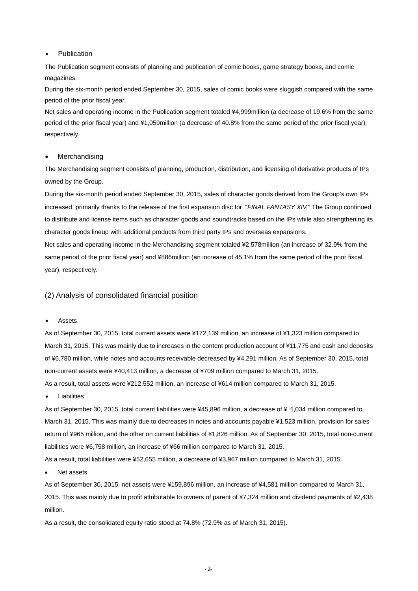#### • Publication

The Publication segment consists of planning and publication of comic books, game strategy books, and comic magazines.

During the six-month period ended September 30, 2015, sales of comic books were sluggish compared with the same period of the prior fiscal year.

Net sales and operating income in the Publication segment totaled ¥4,999million (a decrease of 19.6% from the same period of the prior fiscal year) and ¥1,059million (a decrease of 40.8% from the same period of the prior fiscal year), respectively.

#### Merchandising

The Merchandising segment consists of planning, production, distribution, and licensing of derivative products of IPs owned by the Group.

During the six-month period ended September 30, 2015, sales of character goods derived from the Group's own IPs increased, primarily thanks to the release of the first expansion disc for "*FINAL FANTASY XIV.*" The Group continued to distribute and license items such as character goods and soundtracks based on the IPs while also strengthening its character goods lineup with additional products from third party IPs and overseas expansions.

Net sales and operating income in the Merchandising segment totaled ¥2,578million (an increase of 32.9% from the same period of the prior fiscal year) and ¥886million (an increase of 45.1% from the same period of the prior fiscal year), respectively.

#### (2) Analysis of consolidated financial position

#### Assets

As of September 30, 2015, total current assets were ¥172,139 million, an increase of ¥1,323 million compared to March 31, 2015. This was mainly due to increases in the content production account of ¥11,775 and cash and deposits of ¥6,780 million, while notes and accounts receivable decreased by ¥4,291 million. As of September 30, 2015, total non-current assets were ¥40,413 million, a decrease of ¥709 million compared to March 31, 2015. As a result, total assets were ¥212,552 million, an increase of ¥614 million compared to March 31, 2015.

Liabilities

As of September 30, 2015, total current liabilities were ¥45,896 million, a decrease of ¥ 4,034 million compared to March 31, 2015. This was mainly due to decreases in notes and accounts payable ¥1,523 million, provision for sales return of ¥965 million, and the other on current liabilities of ¥1,826 million. As of September 30, 2015, total non-current liabilities were ¥6,758 million, an increase of ¥66 million compared to March 31, 2015.

As a result, total liabilities were ¥52,655 million, a decrease of ¥3,967 million compared to March 31, 2015.

Net assets

As of September 30, 2015, net assets were ¥159,896 million, an increase of ¥4,581 million compared to March 31, 2015. This was mainly due to profit attributable to owners of parent of ¥7,324 million and dividend payments of ¥2,438 million.

As a result, the consolidated equity ratio stood at 74.8% (72.9% as of March 31, 2015).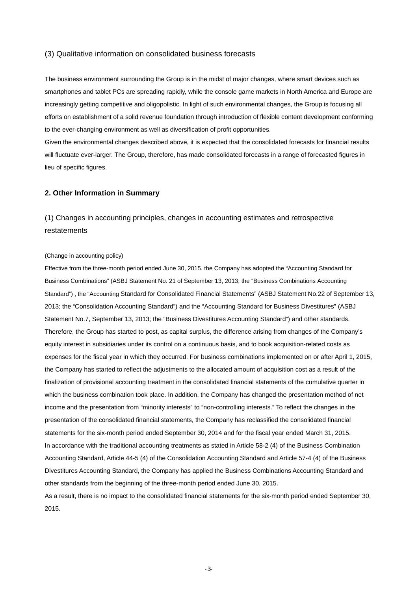#### (3) Qualitative information on consolidated business forecasts

The business environment surrounding the Group is in the midst of major changes, where smart devices such as smartphones and tablet PCs are spreading rapidly, while the console game markets in North America and Europe are increasingly getting competitive and oligopolistic. In light of such environmental changes, the Group is focusing all efforts on establishment of a solid revenue foundation through introduction of flexible content development conforming to the ever-changing environment as well as diversification of profit opportunities.

Given the environmental changes described above, it is expected that the consolidated forecasts for financial results will fluctuate ever-larger. The Group, therefore, has made consolidated forecasts in a range of forecasted figures in lieu of specific figures.

#### **2. Other Information in Summary**

(1) Changes in accounting principles, changes in accounting estimates and retrospective restatements

#### (Change in accounting policy)

Effective from the three-month period ended June 30, 2015, the Company has adopted the "Accounting Standard for Business Combinations" (ASBJ Statement No. 21 of September 13, 2013; the "Business Combinations Accounting Standard") , the "Accounting Standard for Consolidated Financial Statements" (ASBJ Statement No.22 of September 13, 2013; the "Consolidation Accounting Standard") and the "Accounting Standard for Business Divestitures" (ASBJ Statement No.7, September 13, 2013; the "Business Divestitures Accounting Standard") and other standards. Therefore, the Group has started to post, as capital surplus, the difference arising from changes of the Company's equity interest in subsidiaries under its control on a continuous basis, and to book acquisition-related costs as expenses for the fiscal year in which they occurred. For business combinations implemented on or after April 1, 2015, the Company has started to reflect the adjustments to the allocated amount of acquisition cost as a result of the finalization of provisional accounting treatment in the consolidated financial statements of the cumulative quarter in which the business combination took place. In addition, the Company has changed the presentation method of net income and the presentation from "minority interests" to "non-controlling interests." To reflect the changes in the presentation of the consolidated financial statements, the Company has reclassified the consolidated financial statements for the six-month period ended September 30, 2014 and for the fiscal year ended March 31, 2015. In accordance with the traditional accounting treatments as stated in Article 58-2 (4) of the Business Combination Accounting Standard, Article 44-5 (4) of the Consolidation Accounting Standard and Article 57-4 (4) of the Business Divestitures Accounting Standard, the Company has applied the Business Combinations Accounting Standard and other standards from the beginning of the three-month period ended June 30, 2015.

As a result, there is no impact to the consolidated financial statements for the six-month period ended September 30, 2015.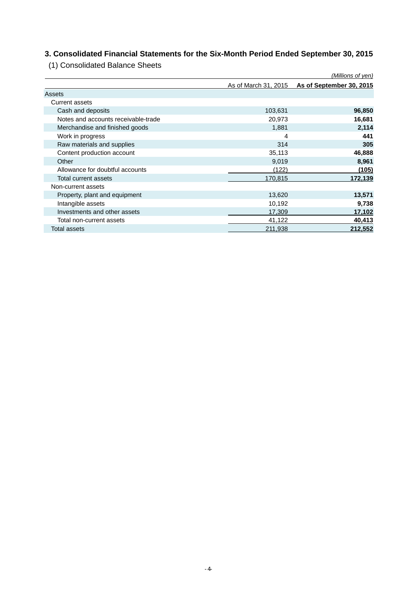## **3. Consolidated Financial Statements for the Six-Month Period Ended September 30, 2015**

(1) Consolidated Balance Sheets

|                                     |                      | <u>(Millions of yen)</u> |
|-------------------------------------|----------------------|--------------------------|
|                                     | As of March 31, 2015 | As of September 30, 2015 |
| Assets                              |                      |                          |
| Current assets                      |                      |                          |
| Cash and deposits                   | 103,631              | 96,850                   |
| Notes and accounts receivable-trade | 20,973               | 16,681                   |
| Merchandise and finished goods      | 1,881                | 2,114                    |
| Work in progress                    | 4                    | 441                      |
| Raw materials and supplies          | 314                  | 305                      |
| Content production account          | 35,113               | 46,888                   |
| Other                               | 9,019                | 8,961                    |
| Allowance for doubtful accounts     | (122)                | (105)                    |
| Total current assets                | 170,815              | 172,139                  |
| Non-current assets                  |                      |                          |
| Property, plant and equipment       | 13,620               | 13,571                   |
| Intangible assets                   | 10,192               | 9,738                    |
| Investments and other assets        | 17,309               | 17,102                   |
| Total non-current assets            | 41,122               | 40,413                   |
| Total assets                        | 211,938              | 212,552                  |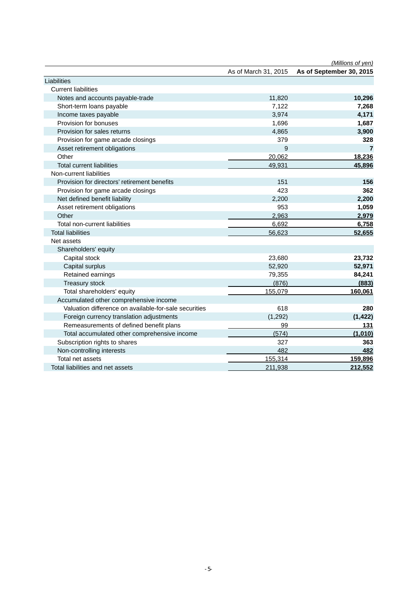|                                                       |                      | (Millions of yen)        |
|-------------------------------------------------------|----------------------|--------------------------|
|                                                       | As of March 31, 2015 | As of September 30, 2015 |
| Liabilities                                           |                      |                          |
| <b>Current liabilities</b>                            |                      |                          |
| Notes and accounts payable-trade                      | 11,820               | 10,296                   |
| Short-term loans payable                              | 7,122                | 7,268                    |
| Income taxes payable                                  | 3,974                | 4,171                    |
| Provision for bonuses                                 | 1,696                | 1,687                    |
| Provision for sales returns                           | 4,865                | 3,900                    |
| Provision for game arcade closings                    | 379                  | 328                      |
| Asset retirement obligations                          | 9                    | 7                        |
| Other                                                 | 20,062               | 18,236                   |
| <b>Total current liabilities</b>                      | 49,931               | 45,896                   |
| Non-current liabilities                               |                      |                          |
| Provision for directors' retirement benefits          | 151                  | 156                      |
| Provision for game arcade closings                    | 423                  | 362                      |
| Net defined benefit liability                         | 2,200                | 2,200                    |
| Asset retirement obligations                          | 953                  | 1,059                    |
| Other                                                 | 2,963                | 2,979                    |
| Total non-current liabilities                         | 6,692                | 6,758                    |
| <b>Total liabilities</b>                              | 56,623               | 52,655                   |
| Net assets                                            |                      |                          |
| Shareholders' equity                                  |                      |                          |
| Capital stock                                         | 23,680               | 23,732                   |
| Capital surplus                                       | 52,920               | 52,971                   |
| Retained earnings                                     | 79,355               | 84,241                   |
| Treasury stock                                        | (876)                | (883)                    |
| Total shareholders' equity                            | 155,079              | 160,061                  |
| Accumulated other comprehensive income                |                      |                          |
| Valuation difference on available-for-sale securities | 618                  | 280                      |
| Foreign currency translation adjustments              | (1, 292)             | (1, 422)                 |
| Remeasurements of defined benefit plans               | 99                   | 131                      |
| Total accumulated other comprehensive income          | (574)                | (1,010)                  |
| Subscription rights to shares                         | 327                  | 363                      |
| Non-controlling interests                             | 482                  | 482                      |
| Total net assets                                      | 155,314              | 159,896                  |
| Total liabilities and net assets                      | 211,938              | 212,552                  |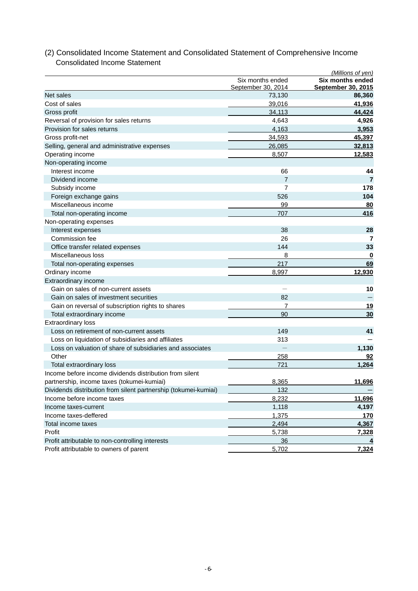| September 30, 2014<br><b>September 30, 2015</b><br>Net sales<br>86,360<br>73,130<br>Cost of sales<br>39,016<br>41,936<br>Gross profit<br>34,113<br>44,424<br>Reversal of provision for sales returns<br>4,643<br>4,926<br>Provision for sales returns<br>4,163<br>3,953<br>34,593<br>45,397<br>Gross profit-net<br>Selling, general and administrative expenses<br>26,085<br>32,813<br>Operating income<br>8,507<br>12,583<br>Non-operating income<br>Interest income<br>66<br>44<br>Dividend income<br>$\overline{7}$<br>$\overline{7}$<br>178<br>Subsidy income<br>7<br>104<br>Foreign exchange gains<br>526<br>Miscellaneous income<br>80<br><u>99</u><br>416<br>Total non-operating income<br>707<br>Non-operating expenses<br>38<br>Interest expenses<br>28<br>Commission fee<br>26<br>$\overline{7}$<br>33<br>144<br>Office transfer related expenses<br>Miscellaneous loss<br>8<br>0<br>69<br>217<br>Total non-operating expenses<br>Ordinary income<br>12,930<br>8,997<br>Extraordinary income<br>Gain on sales of non-current assets<br>10<br>$\overline{\phantom{0}}$<br>Gain on sales of investment securities<br>82<br><u>19</u><br>Gain on reversal of subscription rights to shares<br>7<br>30<br>Total extraordinary income<br>90<br><b>Extraordinary loss</b><br>Loss on retirement of non-current assets<br>149<br>41<br>313<br>Loss on liquidation of subsidiaries and affiliates<br>Loss on valuation of share of subsidiaries and associates<br>1,130<br>$\overline{\phantom{0}}$<br>Other<br>258<br>92<br>721<br>1,264<br>Total extraordinary loss<br>Income before income dividends distribution from silent<br>8,365<br>11,696<br>partnership, income taxes (tokumei-kumiai)<br>Dividends distribution from silent partnership (tokumei-kumiai)<br>132<br>8,232<br>Income before income taxes<br>Income taxes-current<br>1,118<br>Income taxes-deffered<br>1,375<br>170<br>Total income taxes<br>2,494<br>Profit<br>5,738<br>Profit attributable to non-controlling interests<br>36<br>Profit attributable to owners of parent<br>5,702 |                  | (Millions of yen)       |
|----------------------------------------------------------------------------------------------------------------------------------------------------------------------------------------------------------------------------------------------------------------------------------------------------------------------------------------------------------------------------------------------------------------------------------------------------------------------------------------------------------------------------------------------------------------------------------------------------------------------------------------------------------------------------------------------------------------------------------------------------------------------------------------------------------------------------------------------------------------------------------------------------------------------------------------------------------------------------------------------------------------------------------------------------------------------------------------------------------------------------------------------------------------------------------------------------------------------------------------------------------------------------------------------------------------------------------------------------------------------------------------------------------------------------------------------------------------------------------------------------------------------------------------------------------------------------------------------------------------------------------------------------------------------------------------------------------------------------------------------------------------------------------------------------------------------------------------------------------------------------------------------------------------------------------------------------------------------------------------------------------------------------------------------------------------|------------------|-------------------------|
| 11,696<br>4,197<br>4,367<br>7,328<br>7,324                                                                                                                                                                                                                                                                                                                                                                                                                                                                                                                                                                                                                                                                                                                                                                                                                                                                                                                                                                                                                                                                                                                                                                                                                                                                                                                                                                                                                                                                                                                                                                                                                                                                                                                                                                                                                                                                                                                                                                                                                     | Six months ended | <b>Six months ended</b> |
|                                                                                                                                                                                                                                                                                                                                                                                                                                                                                                                                                                                                                                                                                                                                                                                                                                                                                                                                                                                                                                                                                                                                                                                                                                                                                                                                                                                                                                                                                                                                                                                                                                                                                                                                                                                                                                                                                                                                                                                                                                                                |                  |                         |
|                                                                                                                                                                                                                                                                                                                                                                                                                                                                                                                                                                                                                                                                                                                                                                                                                                                                                                                                                                                                                                                                                                                                                                                                                                                                                                                                                                                                                                                                                                                                                                                                                                                                                                                                                                                                                                                                                                                                                                                                                                                                |                  |                         |
|                                                                                                                                                                                                                                                                                                                                                                                                                                                                                                                                                                                                                                                                                                                                                                                                                                                                                                                                                                                                                                                                                                                                                                                                                                                                                                                                                                                                                                                                                                                                                                                                                                                                                                                                                                                                                                                                                                                                                                                                                                                                |                  |                         |
|                                                                                                                                                                                                                                                                                                                                                                                                                                                                                                                                                                                                                                                                                                                                                                                                                                                                                                                                                                                                                                                                                                                                                                                                                                                                                                                                                                                                                                                                                                                                                                                                                                                                                                                                                                                                                                                                                                                                                                                                                                                                |                  |                         |
|                                                                                                                                                                                                                                                                                                                                                                                                                                                                                                                                                                                                                                                                                                                                                                                                                                                                                                                                                                                                                                                                                                                                                                                                                                                                                                                                                                                                                                                                                                                                                                                                                                                                                                                                                                                                                                                                                                                                                                                                                                                                |                  |                         |
|                                                                                                                                                                                                                                                                                                                                                                                                                                                                                                                                                                                                                                                                                                                                                                                                                                                                                                                                                                                                                                                                                                                                                                                                                                                                                                                                                                                                                                                                                                                                                                                                                                                                                                                                                                                                                                                                                                                                                                                                                                                                |                  |                         |
|                                                                                                                                                                                                                                                                                                                                                                                                                                                                                                                                                                                                                                                                                                                                                                                                                                                                                                                                                                                                                                                                                                                                                                                                                                                                                                                                                                                                                                                                                                                                                                                                                                                                                                                                                                                                                                                                                                                                                                                                                                                                |                  |                         |
|                                                                                                                                                                                                                                                                                                                                                                                                                                                                                                                                                                                                                                                                                                                                                                                                                                                                                                                                                                                                                                                                                                                                                                                                                                                                                                                                                                                                                                                                                                                                                                                                                                                                                                                                                                                                                                                                                                                                                                                                                                                                |                  |                         |
|                                                                                                                                                                                                                                                                                                                                                                                                                                                                                                                                                                                                                                                                                                                                                                                                                                                                                                                                                                                                                                                                                                                                                                                                                                                                                                                                                                                                                                                                                                                                                                                                                                                                                                                                                                                                                                                                                                                                                                                                                                                                |                  |                         |
|                                                                                                                                                                                                                                                                                                                                                                                                                                                                                                                                                                                                                                                                                                                                                                                                                                                                                                                                                                                                                                                                                                                                                                                                                                                                                                                                                                                                                                                                                                                                                                                                                                                                                                                                                                                                                                                                                                                                                                                                                                                                |                  |                         |
|                                                                                                                                                                                                                                                                                                                                                                                                                                                                                                                                                                                                                                                                                                                                                                                                                                                                                                                                                                                                                                                                                                                                                                                                                                                                                                                                                                                                                                                                                                                                                                                                                                                                                                                                                                                                                                                                                                                                                                                                                                                                |                  |                         |
|                                                                                                                                                                                                                                                                                                                                                                                                                                                                                                                                                                                                                                                                                                                                                                                                                                                                                                                                                                                                                                                                                                                                                                                                                                                                                                                                                                                                                                                                                                                                                                                                                                                                                                                                                                                                                                                                                                                                                                                                                                                                |                  |                         |
|                                                                                                                                                                                                                                                                                                                                                                                                                                                                                                                                                                                                                                                                                                                                                                                                                                                                                                                                                                                                                                                                                                                                                                                                                                                                                                                                                                                                                                                                                                                                                                                                                                                                                                                                                                                                                                                                                                                                                                                                                                                                |                  |                         |
|                                                                                                                                                                                                                                                                                                                                                                                                                                                                                                                                                                                                                                                                                                                                                                                                                                                                                                                                                                                                                                                                                                                                                                                                                                                                                                                                                                                                                                                                                                                                                                                                                                                                                                                                                                                                                                                                                                                                                                                                                                                                |                  |                         |
|                                                                                                                                                                                                                                                                                                                                                                                                                                                                                                                                                                                                                                                                                                                                                                                                                                                                                                                                                                                                                                                                                                                                                                                                                                                                                                                                                                                                                                                                                                                                                                                                                                                                                                                                                                                                                                                                                                                                                                                                                                                                |                  |                         |
|                                                                                                                                                                                                                                                                                                                                                                                                                                                                                                                                                                                                                                                                                                                                                                                                                                                                                                                                                                                                                                                                                                                                                                                                                                                                                                                                                                                                                                                                                                                                                                                                                                                                                                                                                                                                                                                                                                                                                                                                                                                                |                  |                         |
|                                                                                                                                                                                                                                                                                                                                                                                                                                                                                                                                                                                                                                                                                                                                                                                                                                                                                                                                                                                                                                                                                                                                                                                                                                                                                                                                                                                                                                                                                                                                                                                                                                                                                                                                                                                                                                                                                                                                                                                                                                                                |                  |                         |
|                                                                                                                                                                                                                                                                                                                                                                                                                                                                                                                                                                                                                                                                                                                                                                                                                                                                                                                                                                                                                                                                                                                                                                                                                                                                                                                                                                                                                                                                                                                                                                                                                                                                                                                                                                                                                                                                                                                                                                                                                                                                |                  |                         |
|                                                                                                                                                                                                                                                                                                                                                                                                                                                                                                                                                                                                                                                                                                                                                                                                                                                                                                                                                                                                                                                                                                                                                                                                                                                                                                                                                                                                                                                                                                                                                                                                                                                                                                                                                                                                                                                                                                                                                                                                                                                                |                  |                         |
|                                                                                                                                                                                                                                                                                                                                                                                                                                                                                                                                                                                                                                                                                                                                                                                                                                                                                                                                                                                                                                                                                                                                                                                                                                                                                                                                                                                                                                                                                                                                                                                                                                                                                                                                                                                                                                                                                                                                                                                                                                                                |                  |                         |
|                                                                                                                                                                                                                                                                                                                                                                                                                                                                                                                                                                                                                                                                                                                                                                                                                                                                                                                                                                                                                                                                                                                                                                                                                                                                                                                                                                                                                                                                                                                                                                                                                                                                                                                                                                                                                                                                                                                                                                                                                                                                |                  |                         |
|                                                                                                                                                                                                                                                                                                                                                                                                                                                                                                                                                                                                                                                                                                                                                                                                                                                                                                                                                                                                                                                                                                                                                                                                                                                                                                                                                                                                                                                                                                                                                                                                                                                                                                                                                                                                                                                                                                                                                                                                                                                                |                  |                         |
|                                                                                                                                                                                                                                                                                                                                                                                                                                                                                                                                                                                                                                                                                                                                                                                                                                                                                                                                                                                                                                                                                                                                                                                                                                                                                                                                                                                                                                                                                                                                                                                                                                                                                                                                                                                                                                                                                                                                                                                                                                                                |                  |                         |
|                                                                                                                                                                                                                                                                                                                                                                                                                                                                                                                                                                                                                                                                                                                                                                                                                                                                                                                                                                                                                                                                                                                                                                                                                                                                                                                                                                                                                                                                                                                                                                                                                                                                                                                                                                                                                                                                                                                                                                                                                                                                |                  |                         |
|                                                                                                                                                                                                                                                                                                                                                                                                                                                                                                                                                                                                                                                                                                                                                                                                                                                                                                                                                                                                                                                                                                                                                                                                                                                                                                                                                                                                                                                                                                                                                                                                                                                                                                                                                                                                                                                                                                                                                                                                                                                                |                  |                         |
|                                                                                                                                                                                                                                                                                                                                                                                                                                                                                                                                                                                                                                                                                                                                                                                                                                                                                                                                                                                                                                                                                                                                                                                                                                                                                                                                                                                                                                                                                                                                                                                                                                                                                                                                                                                                                                                                                                                                                                                                                                                                |                  |                         |
|                                                                                                                                                                                                                                                                                                                                                                                                                                                                                                                                                                                                                                                                                                                                                                                                                                                                                                                                                                                                                                                                                                                                                                                                                                                                                                                                                                                                                                                                                                                                                                                                                                                                                                                                                                                                                                                                                                                                                                                                                                                                |                  |                         |
|                                                                                                                                                                                                                                                                                                                                                                                                                                                                                                                                                                                                                                                                                                                                                                                                                                                                                                                                                                                                                                                                                                                                                                                                                                                                                                                                                                                                                                                                                                                                                                                                                                                                                                                                                                                                                                                                                                                                                                                                                                                                |                  |                         |
|                                                                                                                                                                                                                                                                                                                                                                                                                                                                                                                                                                                                                                                                                                                                                                                                                                                                                                                                                                                                                                                                                                                                                                                                                                                                                                                                                                                                                                                                                                                                                                                                                                                                                                                                                                                                                                                                                                                                                                                                                                                                |                  |                         |
|                                                                                                                                                                                                                                                                                                                                                                                                                                                                                                                                                                                                                                                                                                                                                                                                                                                                                                                                                                                                                                                                                                                                                                                                                                                                                                                                                                                                                                                                                                                                                                                                                                                                                                                                                                                                                                                                                                                                                                                                                                                                |                  |                         |
|                                                                                                                                                                                                                                                                                                                                                                                                                                                                                                                                                                                                                                                                                                                                                                                                                                                                                                                                                                                                                                                                                                                                                                                                                                                                                                                                                                                                                                                                                                                                                                                                                                                                                                                                                                                                                                                                                                                                                                                                                                                                |                  |                         |
|                                                                                                                                                                                                                                                                                                                                                                                                                                                                                                                                                                                                                                                                                                                                                                                                                                                                                                                                                                                                                                                                                                                                                                                                                                                                                                                                                                                                                                                                                                                                                                                                                                                                                                                                                                                                                                                                                                                                                                                                                                                                |                  |                         |
|                                                                                                                                                                                                                                                                                                                                                                                                                                                                                                                                                                                                                                                                                                                                                                                                                                                                                                                                                                                                                                                                                                                                                                                                                                                                                                                                                                                                                                                                                                                                                                                                                                                                                                                                                                                                                                                                                                                                                                                                                                                                |                  |                         |
|                                                                                                                                                                                                                                                                                                                                                                                                                                                                                                                                                                                                                                                                                                                                                                                                                                                                                                                                                                                                                                                                                                                                                                                                                                                                                                                                                                                                                                                                                                                                                                                                                                                                                                                                                                                                                                                                                                                                                                                                                                                                |                  |                         |
|                                                                                                                                                                                                                                                                                                                                                                                                                                                                                                                                                                                                                                                                                                                                                                                                                                                                                                                                                                                                                                                                                                                                                                                                                                                                                                                                                                                                                                                                                                                                                                                                                                                                                                                                                                                                                                                                                                                                                                                                                                                                |                  |                         |
|                                                                                                                                                                                                                                                                                                                                                                                                                                                                                                                                                                                                                                                                                                                                                                                                                                                                                                                                                                                                                                                                                                                                                                                                                                                                                                                                                                                                                                                                                                                                                                                                                                                                                                                                                                                                                                                                                                                                                                                                                                                                |                  |                         |
|                                                                                                                                                                                                                                                                                                                                                                                                                                                                                                                                                                                                                                                                                                                                                                                                                                                                                                                                                                                                                                                                                                                                                                                                                                                                                                                                                                                                                                                                                                                                                                                                                                                                                                                                                                                                                                                                                                                                                                                                                                                                |                  |                         |
|                                                                                                                                                                                                                                                                                                                                                                                                                                                                                                                                                                                                                                                                                                                                                                                                                                                                                                                                                                                                                                                                                                                                                                                                                                                                                                                                                                                                                                                                                                                                                                                                                                                                                                                                                                                                                                                                                                                                                                                                                                                                |                  |                         |
|                                                                                                                                                                                                                                                                                                                                                                                                                                                                                                                                                                                                                                                                                                                                                                                                                                                                                                                                                                                                                                                                                                                                                                                                                                                                                                                                                                                                                                                                                                                                                                                                                                                                                                                                                                                                                                                                                                                                                                                                                                                                |                  |                         |
|                                                                                                                                                                                                                                                                                                                                                                                                                                                                                                                                                                                                                                                                                                                                                                                                                                                                                                                                                                                                                                                                                                                                                                                                                                                                                                                                                                                                                                                                                                                                                                                                                                                                                                                                                                                                                                                                                                                                                                                                                                                                |                  |                         |
|                                                                                                                                                                                                                                                                                                                                                                                                                                                                                                                                                                                                                                                                                                                                                                                                                                                                                                                                                                                                                                                                                                                                                                                                                                                                                                                                                                                                                                                                                                                                                                                                                                                                                                                                                                                                                                                                                                                                                                                                                                                                |                  |                         |
|                                                                                                                                                                                                                                                                                                                                                                                                                                                                                                                                                                                                                                                                                                                                                                                                                                                                                                                                                                                                                                                                                                                                                                                                                                                                                                                                                                                                                                                                                                                                                                                                                                                                                                                                                                                                                                                                                                                                                                                                                                                                |                  |                         |
|                                                                                                                                                                                                                                                                                                                                                                                                                                                                                                                                                                                                                                                                                                                                                                                                                                                                                                                                                                                                                                                                                                                                                                                                                                                                                                                                                                                                                                                                                                                                                                                                                                                                                                                                                                                                                                                                                                                                                                                                                                                                |                  |                         |

## (2) Consolidated Income Statement and Consolidated Statement of Comprehensive Income Consolidated Income Statement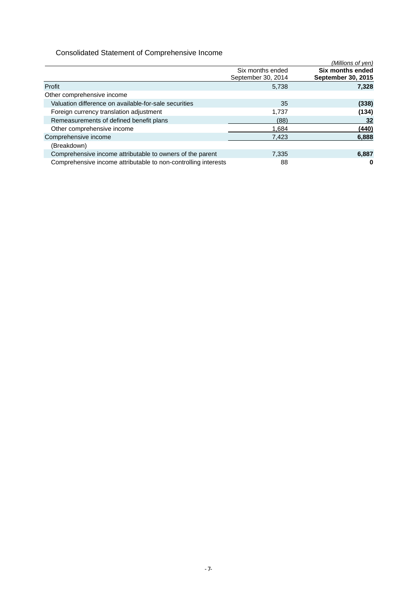## Consolidated Statement of Comprehensive Income

|                                                                |                                        | (Millions of yen)                             |
|----------------------------------------------------------------|----------------------------------------|-----------------------------------------------|
|                                                                | Six months ended<br>September 30, 2014 | Six months ended<br><b>September 30, 2015</b> |
| Profit                                                         | 5,738                                  | 7,328                                         |
| Other comprehensive income                                     |                                        |                                               |
| Valuation difference on available-for-sale securities          | 35                                     | (338)                                         |
| Foreign currency translation adjustment                        | 1.737                                  | (134)                                         |
| Remeasurements of defined benefit plans                        | (88)                                   | 32                                            |
| Other comprehensive income                                     | 1.684                                  | (440)                                         |
| Comprehensive income                                           | 7.423                                  | 6,888                                         |
| (Breakdown)                                                    |                                        |                                               |
| Comprehensive income attributable to owners of the parent      | 7,335                                  | 6,887                                         |
| Comprehensive income attributable to non-controlling interests | 88                                     | 0                                             |